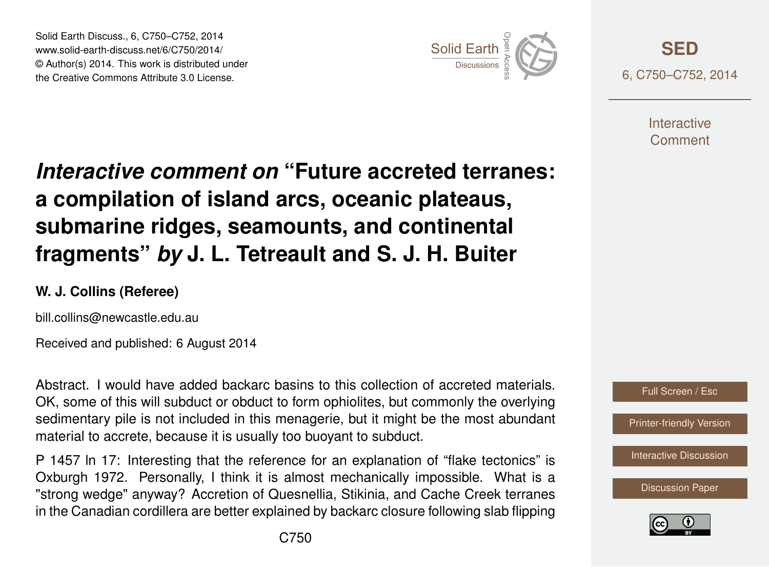Solid Earth Discuss., 6, C750–C752, 2014 www.solid-earth-discuss.net/6/C750/2014/ © Author(s) 2014. This work is distributed under Solid Earth Discuss., 6, C750–C752, 2014<br>www.solid-earth-discuss.net/6/C750/2014/<br>© Author(s) 2014. This work is distributed under<br>the Creative Commons Attribute 3.0 License.



**[SED](http://www.solid-earth-discuss.net)** 6, C750–C752, 2014

> **Interactive** Comment

## *Interactive comment on* **"Future accreted terranes: a compilation of island arcs, oceanic plateaus, submarine ridges, seamounts, and continental fragments"** *by* **J. L. Tetreault and S. J. H. Buiter**

## **W. J. Collins (Referee)**

bill.collins@newcastle.edu.au

Received and published: 6 August 2014

Abstract. I would have added backarc basins to this collection of accreted materials. OK, some of this will subduct or obduct to form ophiolites, but commonly the overlying sedimentary pile is not included in this menagerie, but it might be the most abundant material to accrete, because it is usually too buoyant to subduct.

P 1457 ln 17: Interesting that the reference for an explanation of "flake tectonics" is Oxburgh 1972. Personally, I think it is almost mechanically impossible. What is a "strong wedge" anyway? Accretion of Quesnellia, Stikinia, and Cache Creek terranes in the Canadian cordillera are better explained by backarc closure following slab flipping



[Discussion Paper](http://www.solid-earth-discuss.net/6/1451/2014/sed-6-1451-2014.pdf)

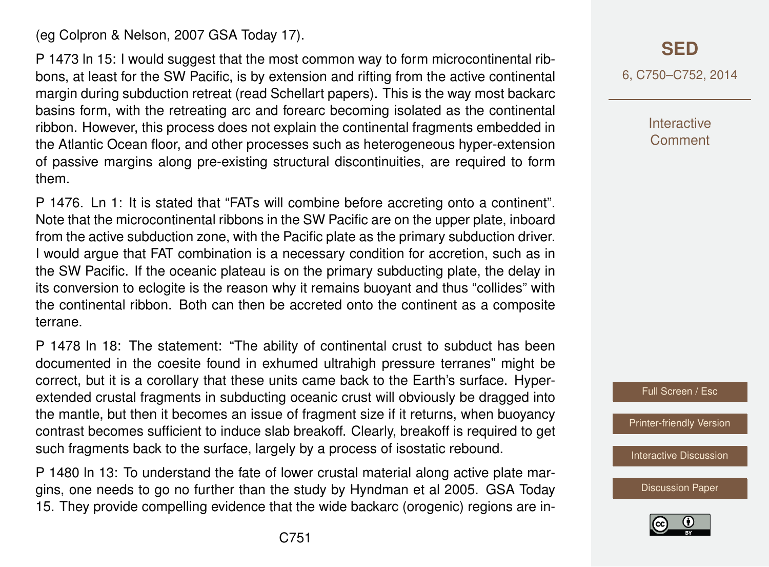(eg Colpron & Nelson, 2007 GSA Today 17).

P 1473 ln 15: I would suggest that the most common way to form microcontinental ribbons, at least for the SW Pacific, is by extension and rifting from the active continental margin during subduction retreat (read Schellart papers). This is the way most backarc basins form, with the retreating arc and forearc becoming isolated as the continental ribbon. However, this process does not explain the continental fragments embedded in the Atlantic Ocean floor, and other processes such as heterogeneous hyper-extension of passive margins along pre-existing structural discontinuities, are required to form them.

P 1476. Ln 1: It is stated that "FATs will combine before accreting onto a continent". Note that the microcontinental ribbons in the SW Pacific are on the upper plate, inboard from the active subduction zone, with the Pacific plate as the primary subduction driver. I would argue that FAT combination is a necessary condition for accretion, such as in the SW Pacific. If the oceanic plateau is on the primary subducting plate, the delay in its conversion to eclogite is the reason why it remains buoyant and thus "collides" with the continental ribbon. Both can then be accreted onto the continent as a composite terrane.

P 1478 ln 18: The statement: "The ability of continental crust to subduct has been documented in the coesite found in exhumed ultrahigh pressure terranes" might be correct, but it is a corollary that these units came back to the Earth's surface. Hyperextended crustal fragments in subducting oceanic crust will obviously be dragged into the mantle, but then it becomes an issue of fragment size if it returns, when buoyancy contrast becomes sufficient to induce slab breakoff. Clearly, breakoff is required to get such fragments back to the surface, largely by a process of isostatic rebound.

P 1480 ln 13: To understand the fate of lower crustal material along active plate margins, one needs to go no further than the study by Hyndman et al 2005. GSA Today 15. They provide compelling evidence that the wide backarc (orogenic) regions are in6, C750–C752, 2014

**Interactive Comment** 



[Printer-friendly Version](http://www.solid-earth-discuss.net/6/C750/2014/sed-6-C750-2014-print.pdf)

[Interactive Discussion](http://www.solid-earth-discuss.net/6/1451/2014/sed-6-1451-2014-discussion.html)

[Discussion Paper](http://www.solid-earth-discuss.net/6/1451/2014/sed-6-1451-2014.pdf)